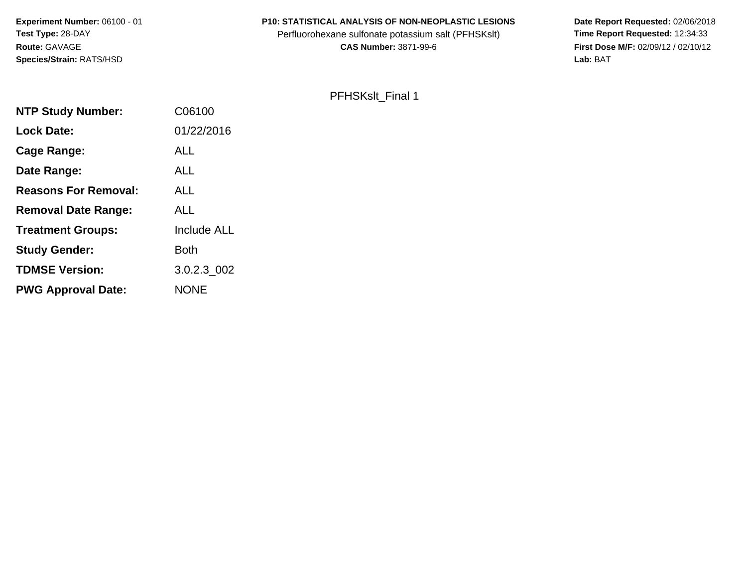**Experiment Number:** 06100 - 01**Test Type:** 28-DAY**Route:** GAVAGE**Species/Strain:** RATS/HSD

#### **P10: STATISTICAL ANALYSIS OF NON-NEOPLASTIC LESIONS**

Perfluorohexane sulfonate potassium salt (PFHSKslt)<br>**CAS Number:** 3871-99-6

 **Date Report Requested:** 02/06/2018 **First Dose M/F:** 02/09/12 / 02/10/12<br>Lab: BAT **Lab:** BAT

#### PFHSKslt\_Final 1

| <b>NTP Study Number:</b>    | C06100             |
|-----------------------------|--------------------|
| <b>Lock Date:</b>           | 01/22/2016         |
| Cage Range:                 | ALL                |
| Date Range:                 | <b>ALL</b>         |
| <b>Reasons For Removal:</b> | ALL                |
| <b>Removal Date Range:</b>  | <b>ALL</b>         |
| <b>Treatment Groups:</b>    | <b>Include ALL</b> |
| <b>Study Gender:</b>        | <b>Both</b>        |
| <b>TDMSE Version:</b>       | 3.0.2.3_002        |
| <b>PWG Approval Date:</b>   | <b>NONE</b>        |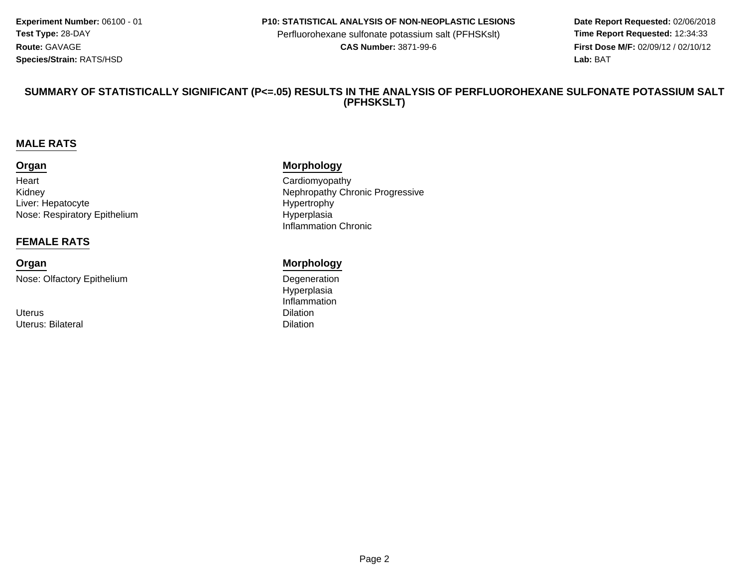**Experiment Number:** 06100 - 01**Test Type:** 28-DAY**Route:** GAVAGE**Species/Strain:** RATS/HSD

#### **P10: STATISTICAL ANALYSIS OF NON-NEOPLASTIC LESIONS**

Perfluorohexane sulfonate potassium salt (PFHSKslt)<br>**CAS Number:** 3871-99-6

 **Date Report Requested:** 02/06/2018 **First Dose M/F:** 02/09/12 / 02/10/12<br>**Lab:** BAT **Lab:** BAT

#### **SUMMARY OF STATISTICALLY SIGNIFICANT (P<=.05) RESULTS IN THE ANALYSIS OF PERFLUOROHEXANE SULFONATE POTASSIUM SALT(PFHSKSLT)**

#### **MALE RATS**

#### **Organ**

**Heart** KidneyLiver: HepatocyteNose: Respiratory Epithelium

#### **FEMALE RATS**

# **Organ**

Nose: Olfactory Epithelium

Uteruss Dilation Uterus: Bilateral

#### **Morphology**

 Cardiomyopathyy with the contract of the Nephropathy Chronic Progressive Hypertrophy Hyperplasia Inflammation Chronic

#### **Morphology**

 Degeneration Hyperplasia Inflammationl and the contract of the contract of the Dilation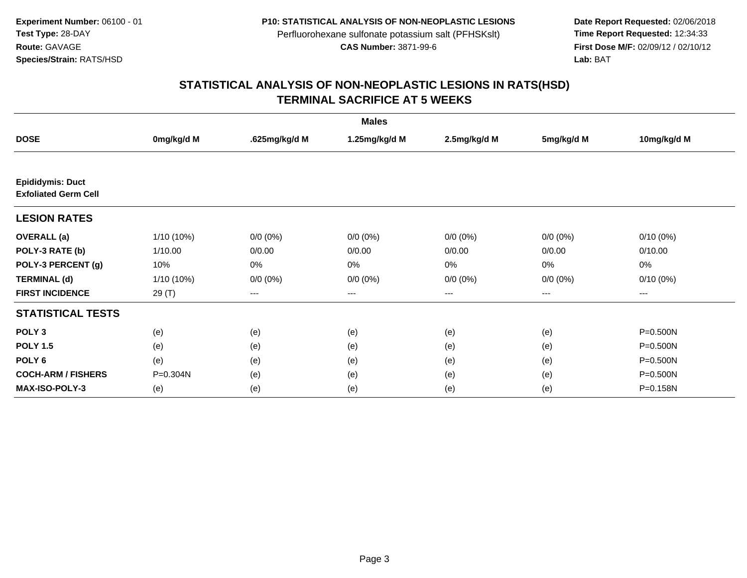**Date Report Requested:** 02/06/2018 **First Dose M/F:** 02/09/12 / 02/10/12<br>Lab: BAT **Lab:** BAT

| <b>Males</b>                                           |              |                        |               |              |             |              |  |  |
|--------------------------------------------------------|--------------|------------------------|---------------|--------------|-------------|--------------|--|--|
| <b>DOSE</b>                                            | 0mg/kg/d M   | .625mg/kg/d M          | 1.25mg/kg/d M | 2.5mg/kg/d M | 5mg/kg/d M  | 10mg/kg/d M  |  |  |
|                                                        |              |                        |               |              |             |              |  |  |
| <b>Epididymis: Duct</b><br><b>Exfoliated Germ Cell</b> |              |                        |               |              |             |              |  |  |
| <b>LESION RATES</b>                                    |              |                        |               |              |             |              |  |  |
| <b>OVERALL</b> (a)                                     | 1/10 (10%)   | $0/0 (0\%)$            | $0/0 (0\%)$   | $0/0 (0\%)$  | $0/0 (0\%)$ | $0/10(0\%)$  |  |  |
| POLY-3 RATE (b)                                        | 1/10.00      | 0/0.00                 | 0/0.00        | 0/0.00       | 0/0.00      | 0/10.00      |  |  |
| POLY-3 PERCENT (g)                                     | 10%          | 0%                     | 0%            | 0%           | 0%          | 0%           |  |  |
| <b>TERMINAL (d)</b>                                    | $1/10(10\%)$ | $0/0 (0\%)$            | $0/0 (0\%)$   | $0/0 (0\%)$  | $0/0(0\%)$  | $0/10(0\%)$  |  |  |
| <b>FIRST INCIDENCE</b>                                 | 29 (T)       | $\qquad \qquad \cdots$ | $---$         | ---          | ---         | ---          |  |  |
| <b>STATISTICAL TESTS</b>                               |              |                        |               |              |             |              |  |  |
| POLY <sub>3</sub>                                      | (e)          | (e)                    | (e)           | (e)          | (e)         | P=0.500N     |  |  |
| <b>POLY 1.5</b>                                        | (e)          | (e)                    | (e)           | (e)          | (e)         | $P = 0.500N$ |  |  |
| POLY <sub>6</sub>                                      | (e)          | (e)                    | (e)           | (e)          | (e)         | $P = 0.500N$ |  |  |
| <b>COCH-ARM / FISHERS</b>                              | P=0.304N     | (e)                    | (e)           | (e)          | (e)         | P=0.500N     |  |  |
| <b>MAX-ISO-POLY-3</b>                                  | (e)          | (e)                    | (e)           | (e)          | (e)         | P=0.158N     |  |  |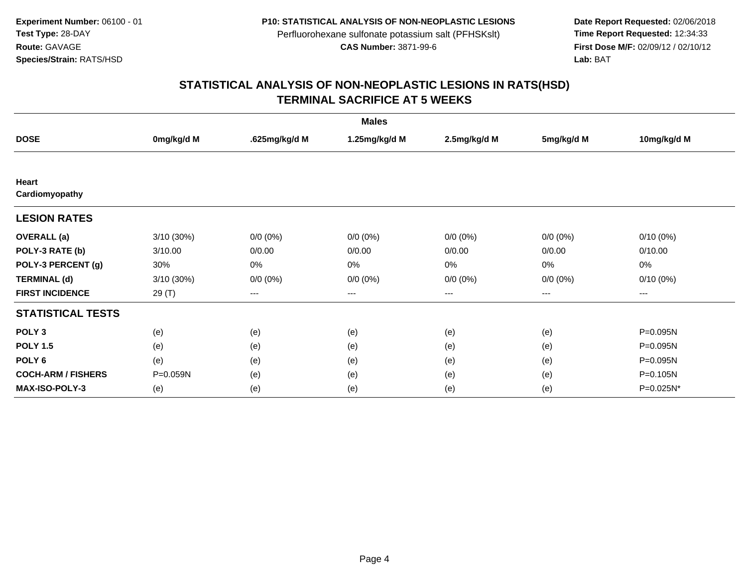**Date Report Requested:** 02/06/2018 **First Dose M/F:** 02/09/12 / 02/10/12<br>Lab: BAT **Lab:** BAT

| <b>Males</b>              |            |               |               |              |             |             |  |  |
|---------------------------|------------|---------------|---------------|--------------|-------------|-------------|--|--|
| <b>DOSE</b>               | 0mg/kg/d M | .625mg/kg/d M | 1.25mg/kg/d M | 2.5mg/kg/d M | 5mg/kg/d M  | 10mg/kg/d M |  |  |
|                           |            |               |               |              |             |             |  |  |
| Heart                     |            |               |               |              |             |             |  |  |
| Cardiomyopathy            |            |               |               |              |             |             |  |  |
| <b>LESION RATES</b>       |            |               |               |              |             |             |  |  |
| <b>OVERALL</b> (a)        | 3/10 (30%) | $0/0 (0\%)$   | $0/0 (0\%)$   | $0/0 (0\%)$  | $0/0 (0\%)$ | $0/10(0\%)$ |  |  |
| POLY-3 RATE (b)           | 3/10.00    | 0/0.00        | 0/0.00        | 0/0.00       | 0/0.00      | 0/10.00     |  |  |
| POLY-3 PERCENT (g)        | 30%        | 0%            | 0%            | 0%           | 0%          | 0%          |  |  |
| <b>TERMINAL (d)</b>       | 3/10 (30%) | $0/0 (0\%)$   | $0/0 (0\%)$   | $0/0 (0\%)$  | $0/0 (0\%)$ | $0/10(0\%)$ |  |  |
| <b>FIRST INCIDENCE</b>    | 29 (T)     | $---$         | $---$         | ---          | $---$       | ---         |  |  |
| <b>STATISTICAL TESTS</b>  |            |               |               |              |             |             |  |  |
| POLY <sub>3</sub>         | (e)        | (e)           | (e)           | (e)          | (e)         | P=0.095N    |  |  |
| <b>POLY 1.5</b>           | (e)        | (e)           | (e)           | (e)          | (e)         | P=0.095N    |  |  |
| POLY <sub>6</sub>         | (e)        | (e)           | (e)           | (e)          | (e)         | P=0.095N    |  |  |
| <b>COCH-ARM / FISHERS</b> | P=0.059N   | (e)           | (e)           | (e)          | (e)         | P=0.105N    |  |  |
| <b>MAX-ISO-POLY-3</b>     | (e)        | (e)           | (e)           | (e)          | (e)         | P=0.025N*   |  |  |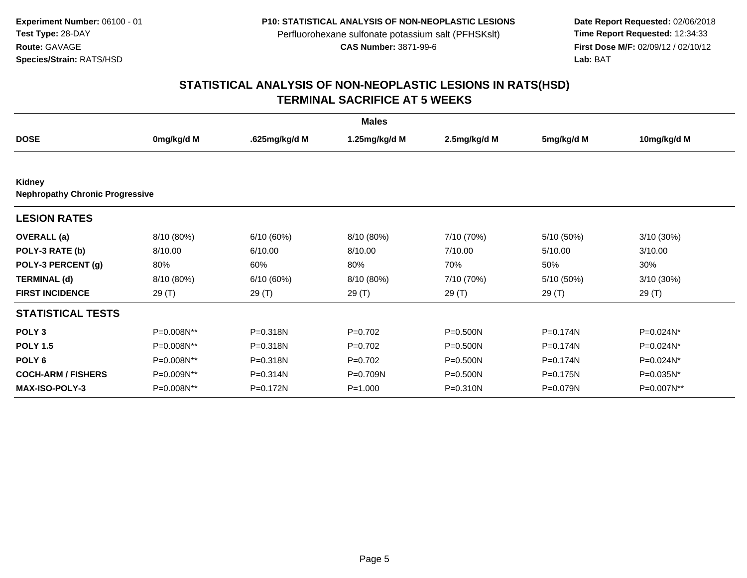**Date Report Requested:** 02/06/2018 **First Dose M/F:** 02/09/12 / 02/10/12<br>Lab: BAT **Lab:** BAT

|                                                  |            |               | <b>Males</b>  |              |              |              |
|--------------------------------------------------|------------|---------------|---------------|--------------|--------------|--------------|
| <b>DOSE</b>                                      | 0mg/kg/d M | .625mg/kg/d M | 1.25mg/kg/d M | 2.5mg/kg/d M | 5mg/kg/d M   | 10mg/kg/d M  |
|                                                  |            |               |               |              |              |              |
| Kidney<br><b>Nephropathy Chronic Progressive</b> |            |               |               |              |              |              |
| <b>LESION RATES</b>                              |            |               |               |              |              |              |
| <b>OVERALL</b> (a)                               | 8/10 (80%) | 6/10(60%)     | 8/10 (80%)    | 7/10 (70%)   | 5/10 (50%)   | $3/10(30\%)$ |
| POLY-3 RATE (b)                                  | 8/10.00    | 6/10.00       | 8/10.00       | 7/10.00      | 5/10.00      | 3/10.00      |
| POLY-3 PERCENT (g)                               | 80%        | 60%           | 80%           | 70%          | 50%          | 30%          |
| <b>TERMINAL (d)</b>                              | 8/10 (80%) | 6/10(60%)     | 8/10 (80%)    | 7/10 (70%)   | 5/10 (50%)   | 3/10 (30%)   |
| <b>FIRST INCIDENCE</b>                           | 29(T)      | 29 (T)        | 29 (T)        | 29 (T)       | 29 (T)       | 29(T)        |
| <b>STATISTICAL TESTS</b>                         |            |               |               |              |              |              |
| POLY <sub>3</sub>                                | P=0.008N** | P=0.318N      | $P=0.702$     | P=0.500N     | P=0.174N     | P=0.024N*    |
| <b>POLY 1.5</b>                                  | P=0.008N** | P=0.318N      | $P=0.702$     | $P = 0.500N$ | $P = 0.174N$ | P=0.024N*    |
| POLY <sub>6</sub>                                | P=0.008N** | P=0.318N      | $P=0.702$     | P=0.500N     | P=0.174N     | P=0.024N*    |
| <b>COCH-ARM / FISHERS</b>                        | P=0.009N** | $P = 0.314N$  | P=0.709N      | P=0.500N     | P=0.175N     | P=0.035N*    |
| <b>MAX-ISO-POLY-3</b>                            | P=0.008N** | P=0.172N      | $P = 1.000$   | $P = 0.310N$ | P=0.079N     | P=0.007N**   |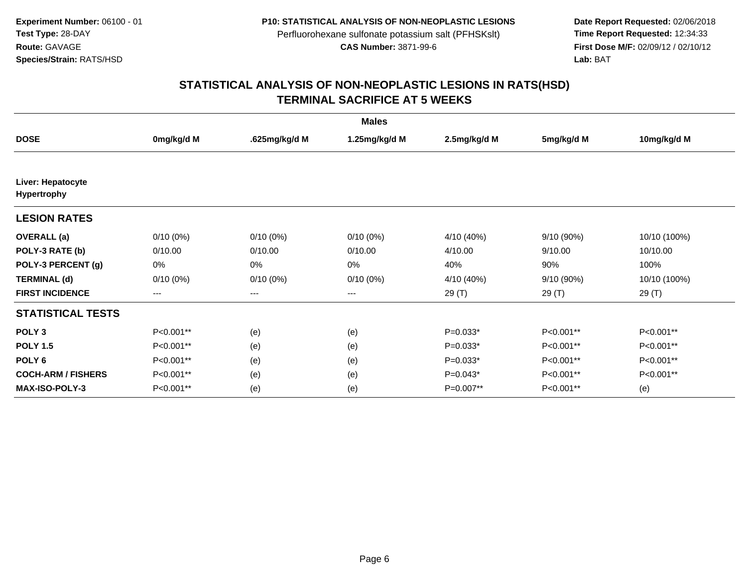**Date Report Requested:** 02/06/2018 **First Dose M/F:** 02/09/12 / 02/10/12<br>Lab: BAT **Lab:** BAT

| <b>Males</b>                     |             |               |                   |              |            |              |  |  |
|----------------------------------|-------------|---------------|-------------------|--------------|------------|--------------|--|--|
| <b>DOSE</b>                      | 0mg/kg/d M  | .625mg/kg/d M | 1.25mg/kg/d M     | 2.5mg/kg/d M | 5mg/kg/d M | 10mg/kg/d M  |  |  |
|                                  |             |               |                   |              |            |              |  |  |
| Liver: Hepatocyte<br>Hypertrophy |             |               |                   |              |            |              |  |  |
| <b>LESION RATES</b>              |             |               |                   |              |            |              |  |  |
| <b>OVERALL</b> (a)               | $0/10(0\%)$ | $0/10(0\%)$   | $0/10(0\%)$       | 4/10 (40%)   | 9/10 (90%) | 10/10 (100%) |  |  |
| POLY-3 RATE (b)                  | 0/10.00     | 0/10.00       | 0/10.00           | 4/10.00      | 9/10.00    | 10/10.00     |  |  |
| POLY-3 PERCENT (g)               | 0%          | 0%            | 0%                | 40%          | 90%        | 100%         |  |  |
| <b>TERMINAL (d)</b>              | $0/10(0\%)$ | $0/10(0\%)$   | $0/10(0\%)$       | 4/10 (40%)   | 9/10 (90%) | 10/10 (100%) |  |  |
| <b>FIRST INCIDENCE</b>           | ---         | $--$          | $\qquad \qquad -$ | 29 (T)       | 29 (T)     | 29 (T)       |  |  |
| <b>STATISTICAL TESTS</b>         |             |               |                   |              |            |              |  |  |
| POLY <sub>3</sub>                | P<0.001**   | (e)           | (e)               | $P=0.033*$   | P<0.001**  | P<0.001**    |  |  |
| <b>POLY 1.5</b>                  | P<0.001**   | (e)           | (e)               | $P=0.033*$   | P<0.001**  | P<0.001**    |  |  |
| POLY <sub>6</sub>                | P<0.001**   | (e)           | (e)               | $P=0.033*$   | P<0.001**  | P<0.001**    |  |  |
| <b>COCH-ARM / FISHERS</b>        | P<0.001**   | (e)           | (e)               | $P=0.043*$   | P<0.001**  | P<0.001**    |  |  |
| <b>MAX-ISO-POLY-3</b>            | P<0.001**   | (e)           | (e)               | P=0.007**    | P<0.001**  | (e)          |  |  |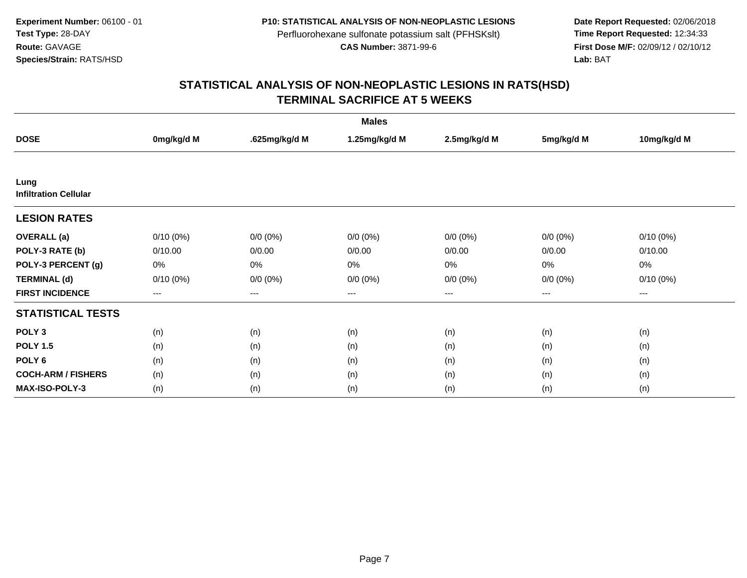Date Report Requested: 02/06/2018<br>Time Report Requested: 12:34:33 **First Dose M/F:** 02/09/12 / 02/10/12<br>Lab: BAT **Lab:** BAT

| <b>Males</b>                         |             |               |               |              |                   |             |  |  |
|--------------------------------------|-------------|---------------|---------------|--------------|-------------------|-------------|--|--|
| <b>DOSE</b>                          | 0mg/kg/d M  | .625mg/kg/d M | 1.25mg/kg/d M | 2.5mg/kg/d M | 5mg/kg/d M        | 10mg/kg/d M |  |  |
|                                      |             |               |               |              |                   |             |  |  |
| Lung<br><b>Infiltration Cellular</b> |             |               |               |              |                   |             |  |  |
| <b>LESION RATES</b>                  |             |               |               |              |                   |             |  |  |
| <b>OVERALL</b> (a)                   | $0/10(0\%)$ | $0/0 (0\%)$   | $0/0 (0\%)$   | $0/0 (0\%)$  | $0/0 (0\%)$       | $0/10(0\%)$ |  |  |
| POLY-3 RATE (b)                      | 0/10.00     | 0/0.00        | 0/0.00        | 0/0.00       | 0/0.00            | 0/10.00     |  |  |
| POLY-3 PERCENT (g)                   | 0%          | $0\%$         | 0%            | 0%           | 0%                | 0%          |  |  |
| <b>TERMINAL (d)</b>                  | $0/10(0\%)$ | $0/0 (0\%)$   | $0/0 (0\%)$   | $0/0 (0\%)$  | $0/0 (0\%)$       | $0/10(0\%)$ |  |  |
| <b>FIRST INCIDENCE</b>               | $--$        | $---$         | $---$         | ---          | $\qquad \qquad -$ | $---$       |  |  |
| <b>STATISTICAL TESTS</b>             |             |               |               |              |                   |             |  |  |
| POLY <sub>3</sub>                    | (n)         | (n)           | (n)           | (n)          | (n)               | (n)         |  |  |
| <b>POLY 1.5</b>                      | (n)         | (n)           | (n)           | (n)          | (n)               | (n)         |  |  |
| POLY <sub>6</sub>                    | (n)         | (n)           | (n)           | (n)          | (n)               | (n)         |  |  |
| <b>COCH-ARM / FISHERS</b>            | (n)         | (n)           | (n)           | (n)          | (n)               | (n)         |  |  |
| MAX-ISO-POLY-3                       | (n)         | (n)           | (n)           | (n)          | (n)               | (n)         |  |  |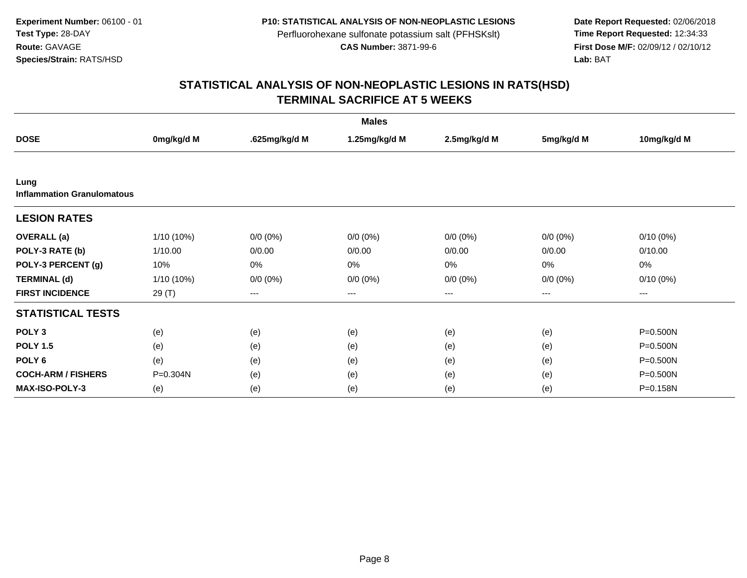**Date Report Requested:** 02/06/2018 **First Dose M/F:** 02/09/12 / 02/10/12<br>Lab: BAT **Lab:** BAT

| <b>Males</b>                              |            |                        |               |              |             |             |  |  |  |
|-------------------------------------------|------------|------------------------|---------------|--------------|-------------|-------------|--|--|--|
| <b>DOSE</b>                               | 0mg/kg/d M | .625mg/kg/d M          | 1.25mg/kg/d M | 2.5mg/kg/d M | 5mg/kg/d M  | 10mg/kg/d M |  |  |  |
|                                           |            |                        |               |              |             |             |  |  |  |
| Lung<br><b>Inflammation Granulomatous</b> |            |                        |               |              |             |             |  |  |  |
| <b>LESION RATES</b>                       |            |                        |               |              |             |             |  |  |  |
| <b>OVERALL</b> (a)                        | 1/10 (10%) | $0/0 (0\%)$            | $0/0 (0\%)$   | $0/0 (0\%)$  | $0/0 (0\%)$ | $0/10(0\%)$ |  |  |  |
| POLY-3 RATE (b)                           | 1/10.00    | 0/0.00                 | 0/0.00        | 0/0.00       | 0/0.00      | 0/10.00     |  |  |  |
| POLY-3 PERCENT (g)                        | 10%        | 0%                     | 0%            | 0%           | 0%          | 0%          |  |  |  |
| <b>TERMINAL (d)</b>                       | 1/10 (10%) | $0/0(0\%)$             | $0/0 (0\%)$   | $0/0 (0\%)$  | $0/0 (0\%)$ | $0/10(0\%)$ |  |  |  |
| <b>FIRST INCIDENCE</b>                    | 29 (T)     | $\qquad \qquad \cdots$ | ---           | ---          | $---$       | ---         |  |  |  |
| <b>STATISTICAL TESTS</b>                  |            |                        |               |              |             |             |  |  |  |
| POLY <sub>3</sub>                         | (e)        | (e)                    | (e)           | (e)          | (e)         | P=0.500N    |  |  |  |
| <b>POLY 1.5</b>                           | (e)        | (e)                    | (e)           | (e)          | (e)         | P=0.500N    |  |  |  |
| POLY <sub>6</sub>                         | (e)        | (e)                    | (e)           | (e)          | (e)         | P=0.500N    |  |  |  |
| <b>COCH-ARM / FISHERS</b>                 | P=0.304N   | (e)                    | (e)           | (e)          | (e)         | P=0.500N    |  |  |  |
| <b>MAX-ISO-POLY-3</b>                     | (e)        | (e)                    | (e)           | (e)          | (e)         | P=0.158N    |  |  |  |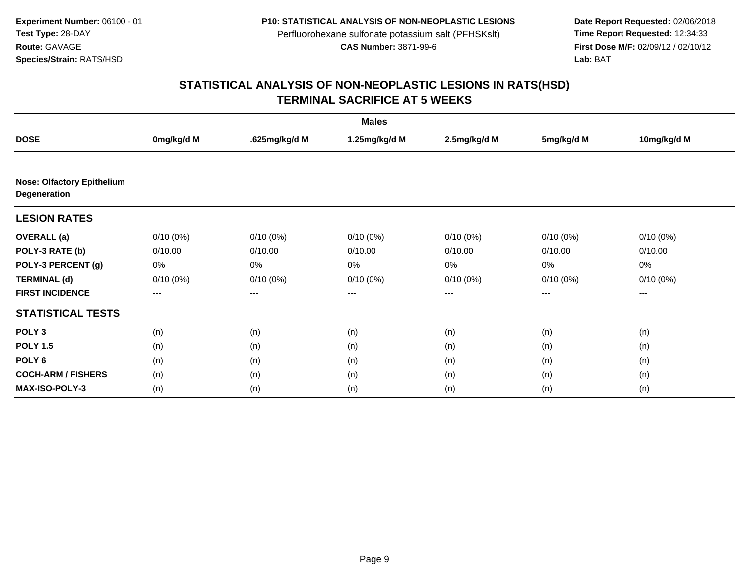**Date Report Requested:** 02/06/2018 **First Dose M/F:** 02/09/12 / 02/10/12<br>Lab: BAT **Lab:** BAT

|                                                   |                   |               | <b>Males</b>  |              |             |             |
|---------------------------------------------------|-------------------|---------------|---------------|--------------|-------------|-------------|
| <b>DOSE</b>                                       | 0mg/kg/d M        | .625mg/kg/d M | 1.25mg/kg/d M | 2.5mg/kg/d M | 5mg/kg/d M  | 10mg/kg/d M |
|                                                   |                   |               |               |              |             |             |
| <b>Nose: Olfactory Epithelium</b><br>Degeneration |                   |               |               |              |             |             |
| <b>LESION RATES</b>                               |                   |               |               |              |             |             |
| <b>OVERALL</b> (a)                                | $0/10(0\%)$       | $0/10(0\%)$   | $0/10(0\%)$   | $0/10(0\%)$  | $0/10(0\%)$ | $0/10(0\%)$ |
| POLY-3 RATE (b)                                   | 0/10.00           | 0/10.00       | 0/10.00       | 0/10.00      | 0/10.00     | 0/10.00     |
| POLY-3 PERCENT (g)                                | 0%                | 0%            | 0%            | 0%           | 0%          | 0%          |
| <b>TERMINAL (d)</b>                               | $0/10(0\%)$       | $0/10(0\%)$   | $0/10(0\%)$   | $0/10(0\%)$  | $0/10(0\%)$ | $0/10(0\%)$ |
| <b>FIRST INCIDENCE</b>                            | $\qquad \qquad -$ | ---           | ---           | $--$         | ---         | ---         |
| <b>STATISTICAL TESTS</b>                          |                   |               |               |              |             |             |
| POLY <sub>3</sub>                                 | (n)               | (n)           | (n)           | (n)          | (n)         | (n)         |
| <b>POLY 1.5</b>                                   | (n)               | (n)           | (n)           | (n)          | (n)         | (n)         |
| POLY <sub>6</sub>                                 | (n)               | (n)           | (n)           | (n)          | (n)         | (n)         |
| <b>COCH-ARM / FISHERS</b>                         | (n)               | (n)           | (n)           | (n)          | (n)         | (n)         |
| MAX-ISO-POLY-3                                    | (n)               | (n)           | (n)           | (n)          | (n)         | (n)         |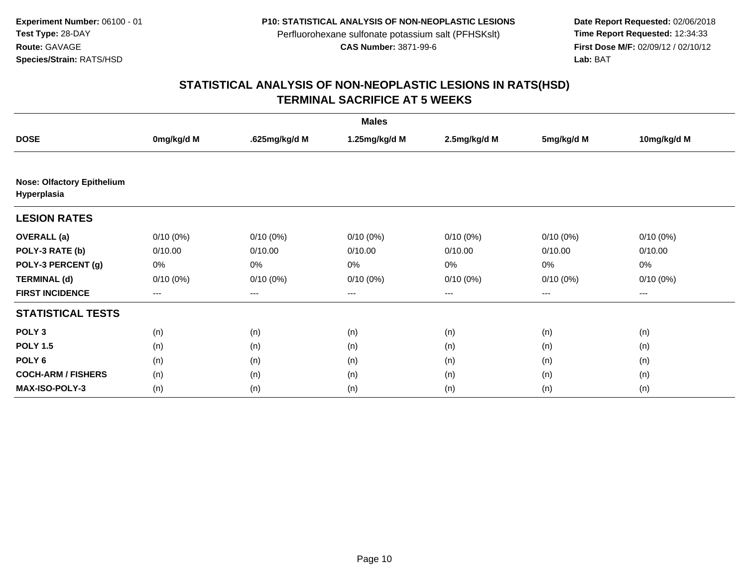**Date Report Requested:** 02/06/2018 **First Dose M/F:** 02/09/12 / 02/10/12<br>Lab: BAT **Lab:** BAT

|                                                  |             |                        | <b>Males</b>  |              |             |             |
|--------------------------------------------------|-------------|------------------------|---------------|--------------|-------------|-------------|
| <b>DOSE</b>                                      | 0mg/kg/d M  | .625mg/kg/d M          | 1.25mg/kg/d M | 2.5mg/kg/d M | 5mg/kg/d M  | 10mg/kg/d M |
|                                                  |             |                        |               |              |             |             |
| <b>Nose: Olfactory Epithelium</b><br>Hyperplasia |             |                        |               |              |             |             |
| <b>LESION RATES</b>                              |             |                        |               |              |             |             |
| <b>OVERALL</b> (a)                               | $0/10(0\%)$ | $0/10(0\%)$            | $0/10(0\%)$   | $0/10(0\%)$  | $0/10(0\%)$ | $0/10(0\%)$ |
| POLY-3 RATE (b)                                  | 0/10.00     | 0/10.00                | 0/10.00       | 0/10.00      | 0/10.00     | 0/10.00     |
| POLY-3 PERCENT (g)                               | 0%          | 0%                     | 0%            | 0%           | 0%          | $0\%$       |
| <b>TERMINAL (d)</b>                              | $0/10(0\%)$ | $0/10(0\%)$            | $0/10(0\%)$   | $0/10(0\%)$  | $0/10(0\%)$ | $0/10(0\%)$ |
| <b>FIRST INCIDENCE</b>                           | $---$       | $\qquad \qquad \cdots$ | $---$         | ---          | $\cdots$    | $\cdots$    |
| <b>STATISTICAL TESTS</b>                         |             |                        |               |              |             |             |
| POLY <sub>3</sub>                                | (n)         | (n)                    | (n)           | (n)          | (n)         | (n)         |
| <b>POLY 1.5</b>                                  | (n)         | (n)                    | (n)           | (n)          | (n)         | (n)         |
| POLY <sub>6</sub>                                | (n)         | (n)                    | (n)           | (n)          | (n)         | (n)         |
| <b>COCH-ARM / FISHERS</b>                        | (n)         | (n)                    | (n)           | (n)          | (n)         | (n)         |
| <b>MAX-ISO-POLY-3</b>                            | (n)         | (n)                    | (n)           | (n)          | (n)         | (n)         |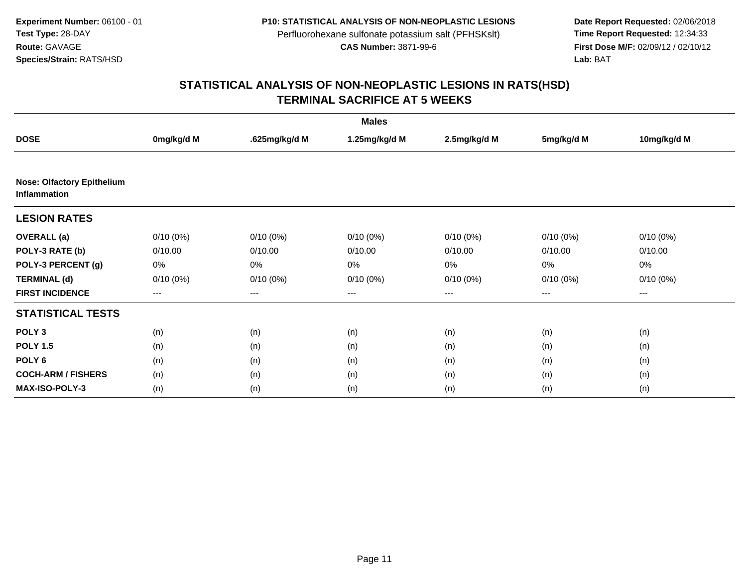**Date Report Requested:** 02/06/2018 **First Dose M/F:** 02/09/12 / 02/10/12<br>Lab: BAT **Lab:** BAT

|                                                          |             |               | <b>Males</b>  |              |             |             |
|----------------------------------------------------------|-------------|---------------|---------------|--------------|-------------|-------------|
| <b>DOSE</b>                                              | 0mg/kg/d M  | .625mg/kg/d M | 1.25mg/kg/d M | 2.5mg/kg/d M | 5mg/kg/d M  | 10mg/kg/d M |
|                                                          |             |               |               |              |             |             |
| <b>Nose: Olfactory Epithelium</b><br><b>Inflammation</b> |             |               |               |              |             |             |
| <b>LESION RATES</b>                                      |             |               |               |              |             |             |
| <b>OVERALL</b> (a)                                       | $0/10(0\%)$ | $0/10(0\%)$   | $0/10(0\%)$   | $0/10(0\%)$  | $0/10(0\%)$ | $0/10(0\%)$ |
| POLY-3 RATE (b)                                          | 0/10.00     | 0/10.00       | 0/10.00       | 0/10.00      | 0/10.00     | 0/10.00     |
| POLY-3 PERCENT (g)                                       | 0%          | 0%            | 0%            | 0%           | 0%          | 0%          |
| <b>TERMINAL (d)</b>                                      | $0/10(0\%)$ | $0/10(0\%)$   | $0/10(0\%)$   | $0/10(0\%)$  | $0/10(0\%)$ | $0/10(0\%)$ |
| <b>FIRST INCIDENCE</b>                                   | $---$       | ---           | ---           | $\cdots$     | ---         | ---         |
| <b>STATISTICAL TESTS</b>                                 |             |               |               |              |             |             |
| POLY <sub>3</sub>                                        | (n)         | (n)           | (n)           | (n)          | (n)         | (n)         |
| <b>POLY 1.5</b>                                          | (n)         | (n)           | (n)           | (n)          | (n)         | (n)         |
| POLY <sub>6</sub>                                        | (n)         | (n)           | (n)           | (n)          | (n)         | (n)         |
| <b>COCH-ARM / FISHERS</b>                                | (n)         | (n)           | (n)           | (n)          | (n)         | (n)         |
| <b>MAX-ISO-POLY-3</b>                                    | (n)         | (n)           | (n)           | (n)          | (n)         | (n)         |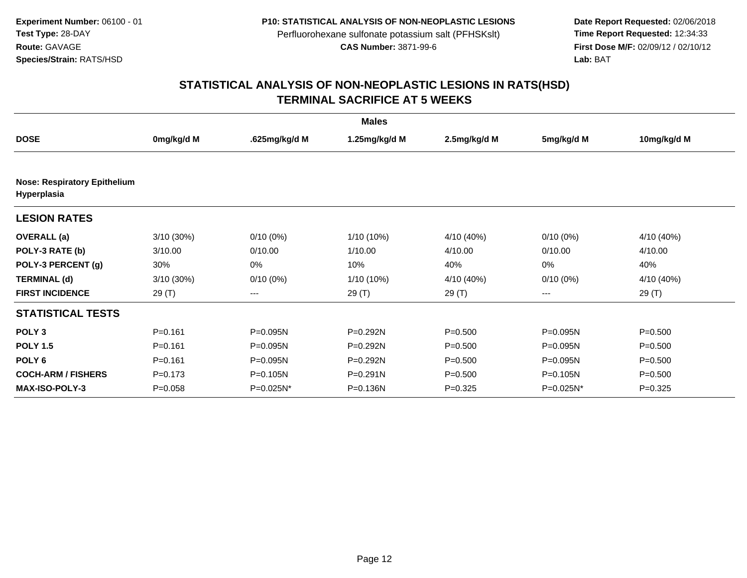**Date Report Requested:** 02/06/2018 **First Dose M/F:** 02/09/12 / 02/10/12<br>Lab: BAT **Lab:** BAT

|                                                    |              |               | <b>Males</b>  |              |             |             |
|----------------------------------------------------|--------------|---------------|---------------|--------------|-------------|-------------|
| <b>DOSE</b>                                        | 0mg/kg/d M   | .625mg/kg/d M | 1.25mg/kg/d M | 2.5mg/kg/d M | 5mg/kg/d M  | 10mg/kg/d M |
|                                                    |              |               |               |              |             |             |
| <b>Nose: Respiratory Epithelium</b><br>Hyperplasia |              |               |               |              |             |             |
| <b>LESION RATES</b>                                |              |               |               |              |             |             |
| <b>OVERALL</b> (a)                                 | $3/10(30\%)$ | $0/10(0\%)$   | $1/10(10\%)$  | 4/10 (40%)   | $0/10(0\%)$ | 4/10 (40%)  |
| POLY-3 RATE (b)                                    | 3/10.00      | 0/10.00       | 1/10.00       | 4/10.00      | 0/10.00     | 4/10.00     |
| POLY-3 PERCENT (g)                                 | 30%          | 0%            | 10%           | 40%          | 0%          | 40%         |
| <b>TERMINAL (d)</b>                                | $3/10(30\%)$ | $0/10(0\%)$   | 1/10 (10%)    | 4/10 (40%)   | $0/10(0\%)$ | 4/10 (40%)  |
| <b>FIRST INCIDENCE</b>                             | 29(T)        | ---           | 29(T)         | 29(T)        | $---$       | 29(T)       |
| <b>STATISTICAL TESTS</b>                           |              |               |               |              |             |             |
| POLY <sub>3</sub>                                  | $P = 0.161$  | P=0.095N      | P=0.292N      | $P = 0.500$  | P=0.095N    | $P = 0.500$ |
| <b>POLY 1.5</b>                                    | $P = 0.161$  | P=0.095N      | P=0.292N      | $P = 0.500$  | P=0.095N    | $P = 0.500$ |
| POLY <sub>6</sub>                                  | $P = 0.161$  | P=0.095N      | P=0.292N      | $P = 0.500$  | P=0.095N    | $P = 0.500$ |
| <b>COCH-ARM / FISHERS</b>                          | $P = 0.173$  | $P = 0.105N$  | $P = 0.291N$  | $P = 0.500$  | P=0.105N    | $P = 0.500$ |
| <b>MAX-ISO-POLY-3</b>                              | $P = 0.058$  | P=0.025N*     | P=0.136N      | $P=0.325$    | P=0.025N*   | $P = 0.325$ |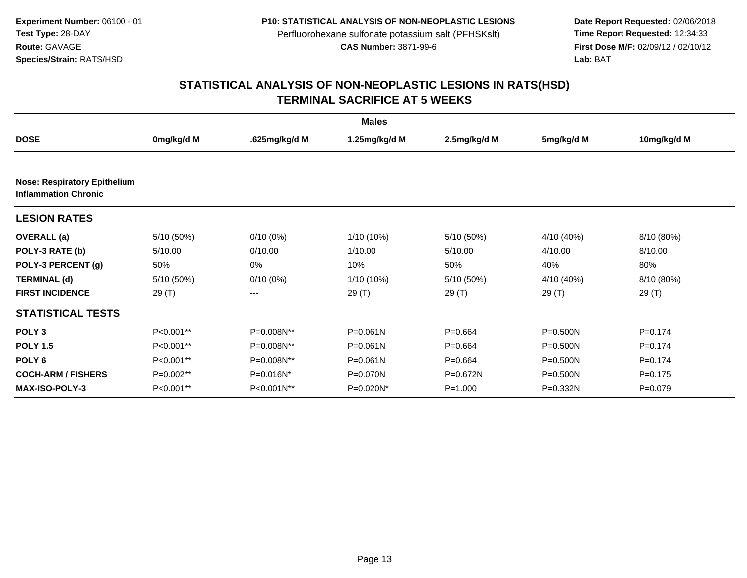**Date Report Requested:** 02/06/2018 **First Dose M/F:** 02/09/12 / 02/10/12<br>Lab: BAT **Lab:** BAT

|                                                                    |            |               | <b>Males</b>  |              |              |             |
|--------------------------------------------------------------------|------------|---------------|---------------|--------------|--------------|-------------|
| <b>DOSE</b>                                                        | 0mg/kg/d M | .625mg/kg/d M | 1.25mg/kg/d M | 2.5mg/kg/d M | 5mg/kg/d M   | 10mg/kg/d M |
|                                                                    |            |               |               |              |              |             |
| <b>Nose: Respiratory Epithelium</b><br><b>Inflammation Chronic</b> |            |               |               |              |              |             |
| <b>LESION RATES</b>                                                |            |               |               |              |              |             |
| <b>OVERALL</b> (a)                                                 | 5/10(50%)  | $0/10(0\%)$   | $1/10(10\%)$  | 5/10 (50%)   | 4/10 (40%)   | 8/10 (80%)  |
| POLY-3 RATE (b)                                                    | 5/10.00    | 0/10.00       | 1/10.00       | 5/10.00      | 4/10.00      | 8/10.00     |
| POLY-3 PERCENT (g)                                                 | 50%        | 0%            | 10%           | 50%          | 40%          | 80%         |
| <b>TERMINAL (d)</b>                                                | 5/10(50%)  | $0/10(0\%)$   | 1/10 (10%)    | 5/10 (50%)   | 4/10 (40%)   | 8/10 (80%)  |
| <b>FIRST INCIDENCE</b>                                             | 29(T)      | ---           | 29 (T)        | 29 (T)       | 29 (T)       | 29 (T)      |
| <b>STATISTICAL TESTS</b>                                           |            |               |               |              |              |             |
| POLY <sub>3</sub>                                                  | P<0.001**  | P=0.008N**    | $P = 0.061N$  | $P = 0.664$  | $P = 0.500N$ | $P = 0.174$ |
| <b>POLY 1.5</b>                                                    | P<0.001**  | P=0.008N**    | $P = 0.061N$  | $P = 0.664$  | $P = 0.500N$ | $P=0.174$   |
| POLY <sub>6</sub>                                                  | P<0.001**  | P=0.008N**    | $P = 0.061N$  | $P = 0.664$  | $P = 0.500N$ | $P=0.174$   |
| <b>COCH-ARM / FISHERS</b>                                          | P=0.002**  | P=0.016N*     | P=0.070N      | P=0.672N     | $P = 0.500N$ | $P = 0.175$ |
| <b>MAX-ISO-POLY-3</b>                                              | P<0.001**  | P<0.001N**    | P=0.020N*     | $P = 1.000$  | P=0.332N     | $P=0.079$   |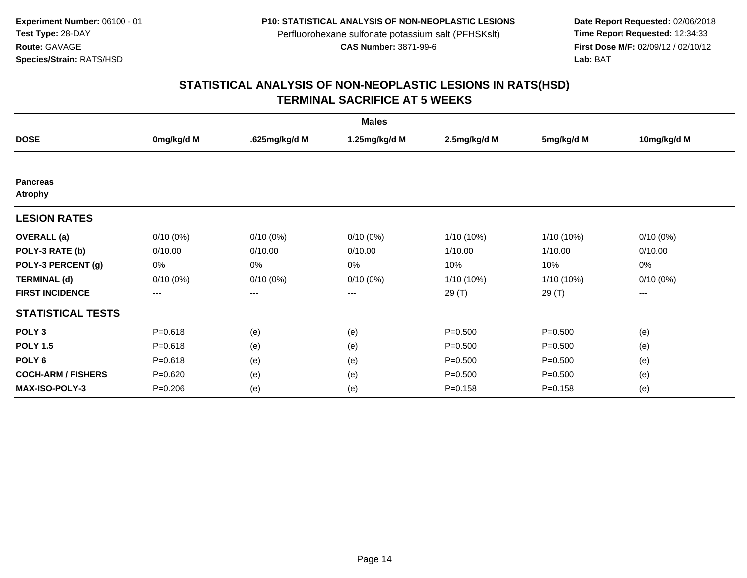**Date Report Requested:** 02/06/2018 **First Dose M/F:** 02/09/12 / 02/10/12<br>Lab: BAT **Lab:** BAT

| <b>Males</b>                      |             |                        |               |              |              |             |  |  |
|-----------------------------------|-------------|------------------------|---------------|--------------|--------------|-------------|--|--|
| <b>DOSE</b>                       | 0mg/kg/d M  | .625mg/kg/d M          | 1.25mg/kg/d M | 2.5mg/kg/d M | 5mg/kg/d M   | 10mg/kg/d M |  |  |
|                                   |             |                        |               |              |              |             |  |  |
| <b>Pancreas</b><br><b>Atrophy</b> |             |                        |               |              |              |             |  |  |
| <b>LESION RATES</b>               |             |                        |               |              |              |             |  |  |
| <b>OVERALL</b> (a)                | $0/10(0\%)$ | $0/10(0\%)$            | $0/10(0\%)$   | $1/10(10\%)$ | 1/10 (10%)   | $0/10(0\%)$ |  |  |
| POLY-3 RATE (b)                   | 0/10.00     | 0/10.00                | 0/10.00       | 1/10.00      | 1/10.00      | 0/10.00     |  |  |
| POLY-3 PERCENT (g)                | 0%          | 0%                     | 0%            | 10%          | 10%          | 0%          |  |  |
| <b>TERMINAL (d)</b>               | $0/10(0\%)$ | $0/10(0\%)$            | $0/10(0\%)$   | 1/10 (10%)   | $1/10(10\%)$ | $0/10(0\%)$ |  |  |
| <b>FIRST INCIDENCE</b>            | ---         | $\qquad \qquad \cdots$ | ---           | 29 (T)       | 29 (T)       | $---$       |  |  |
| <b>STATISTICAL TESTS</b>          |             |                        |               |              |              |             |  |  |
| POLY <sub>3</sub>                 | $P = 0.618$ | (e)                    | (e)           | $P = 0.500$  | $P = 0.500$  | (e)         |  |  |
| <b>POLY 1.5</b>                   | $P = 0.618$ | (e)                    | (e)           | $P = 0.500$  | $P = 0.500$  | (e)         |  |  |
| POLY <sub>6</sub>                 | $P = 0.618$ | (e)                    | (e)           | $P = 0.500$  | $P = 0.500$  | (e)         |  |  |
| <b>COCH-ARM / FISHERS</b>         | $P = 0.620$ | (e)                    | (e)           | $P = 0.500$  | $P = 0.500$  | (e)         |  |  |
| <b>MAX-ISO-POLY-3</b>             | $P = 0.206$ | (e)                    | (e)           | $P = 0.158$  | $P = 0.158$  | (e)         |  |  |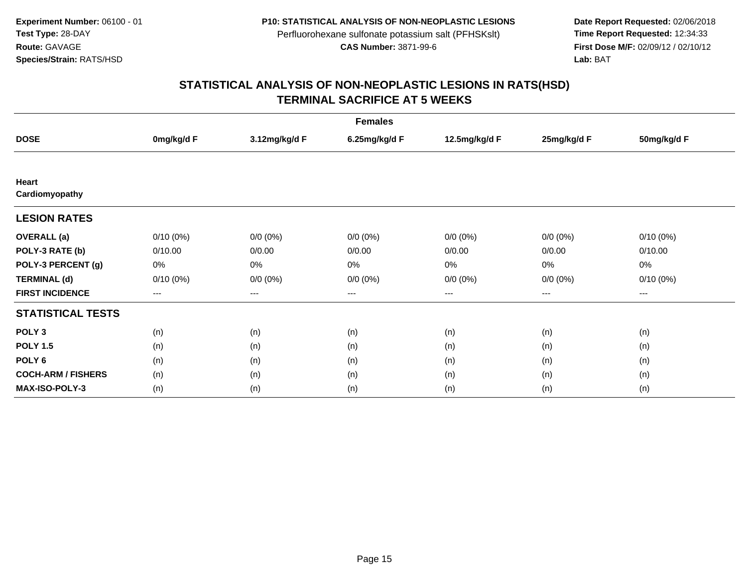**Date Report Requested:** 02/06/2018 **First Dose M/F:** 02/09/12 / 02/10/12<br>Lab: BAT **Lab:** BAT

| <b>Females</b>            |             |               |               |               |             |             |  |  |
|---------------------------|-------------|---------------|---------------|---------------|-------------|-------------|--|--|
| <b>DOSE</b>               | 0mg/kg/d F  | 3.12mg/kg/d F | 6.25mg/kg/d F | 12.5mg/kg/d F | 25mg/kg/d F | 50mg/kg/d F |  |  |
|                           |             |               |               |               |             |             |  |  |
| Heart                     |             |               |               |               |             |             |  |  |
| Cardiomyopathy            |             |               |               |               |             |             |  |  |
| <b>LESION RATES</b>       |             |               |               |               |             |             |  |  |
| <b>OVERALL</b> (a)        | $0/10(0\%)$ | $0/0 (0\%)$   | $0/0 (0\%)$   | $0/0 (0\%)$   | $0/0 (0\%)$ | $0/10(0\%)$ |  |  |
| POLY-3 RATE (b)           | 0/10.00     | 0/0.00        | 0/0.00        | 0/0.00        | 0/0.00      | 0/10.00     |  |  |
| POLY-3 PERCENT (g)        | 0%          | 0%            | 0%            | 0%            | 0%          | 0%          |  |  |
| <b>TERMINAL (d)</b>       | $0/10(0\%)$ | $0/0 (0\%)$   | $0/0 (0\%)$   | $0/0 (0\%)$   | $0/0 (0\%)$ | $0/10(0\%)$ |  |  |
| <b>FIRST INCIDENCE</b>    | ---         | $---$         | ---           | ---           | $---$       | $--$        |  |  |
| <b>STATISTICAL TESTS</b>  |             |               |               |               |             |             |  |  |
| POLY <sub>3</sub>         | (n)         | (n)           | (n)           | (n)           | (n)         | (n)         |  |  |
| <b>POLY 1.5</b>           | (n)         | (n)           | (n)           | (n)           | (n)         | (n)         |  |  |
| POLY <sub>6</sub>         | (n)         | (n)           | (n)           | (n)           | (n)         | (n)         |  |  |
| <b>COCH-ARM / FISHERS</b> | (n)         | (n)           | (n)           | (n)           | (n)         | (n)         |  |  |
| <b>MAX-ISO-POLY-3</b>     | (n)         | (n)           | (n)           | (n)           | (n)         | (n)         |  |  |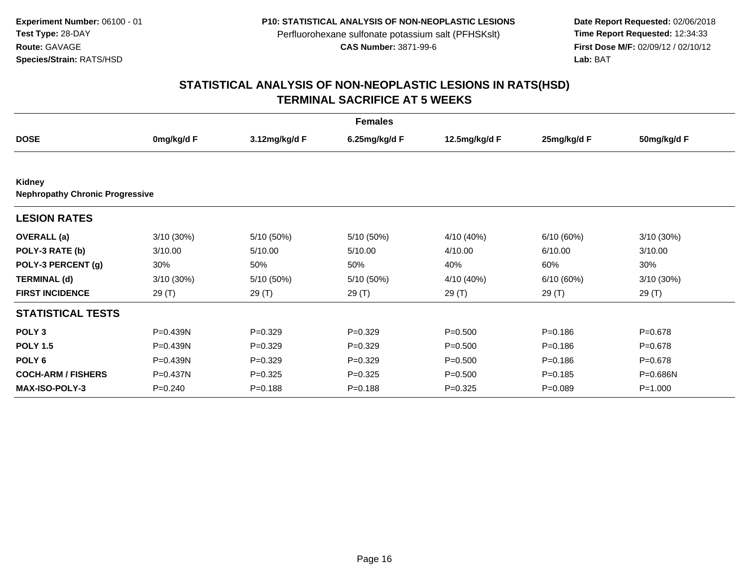**Date Report Requested:** 02/06/2018 **First Dose M/F:** 02/09/12 / 02/10/12<br>Lab: BAT **Lab:** BAT

|                                                  |              |               | <b>Females</b> |               |             |              |
|--------------------------------------------------|--------------|---------------|----------------|---------------|-------------|--------------|
| <b>DOSE</b>                                      | 0mg/kg/d F   | 3.12mg/kg/d F | 6.25mg/kg/d F  | 12.5mg/kg/d F | 25mg/kg/d F | 50mg/kg/d F  |
|                                                  |              |               |                |               |             |              |
| Kidney<br><b>Nephropathy Chronic Progressive</b> |              |               |                |               |             |              |
| <b>LESION RATES</b>                              |              |               |                |               |             |              |
| <b>OVERALL</b> (a)                               | 3/10 (30%)   | 5/10 (50%)    | 5/10 (50%)     | 4/10 (40%)    | 6/10(60%)   | $3/10(30\%)$ |
| POLY-3 RATE (b)                                  | 3/10.00      | 5/10.00       | 5/10.00        | 4/10.00       | 6/10.00     | 3/10.00      |
| POLY-3 PERCENT (g)                               | 30%          | 50%           | 50%            | 40%           | 60%         | 30%          |
| <b>TERMINAL (d)</b>                              | 3/10 (30%)   | 5/10 (50%)    | 5/10 (50%)     | 4/10 (40%)    | 6/10(60%)   | 3/10 (30%)   |
| <b>FIRST INCIDENCE</b>                           | 29 (T)       | 29 (T)        | 29 (T)         | 29 (T)        | 29 (T)      | 29 (T)       |
| <b>STATISTICAL TESTS</b>                         |              |               |                |               |             |              |
| POLY <sub>3</sub>                                | P=0.439N     | $P=0.329$     | $P=0.329$      | $P = 0.500$   | $P = 0.186$ | $P = 0.678$  |
| <b>POLY 1.5</b>                                  | P=0.439N     | $P=0.329$     | $P=0.329$      | $P = 0.500$   | $P = 0.186$ | $P = 0.678$  |
| POLY <sub>6</sub>                                | P=0.439N     | $P=0.329$     | $P=0.329$      | $P = 0.500$   | $P = 0.186$ | $P = 0.678$  |
| <b>COCH-ARM / FISHERS</b>                        | $P = 0.437N$ | $P=0.325$     | $P=0.325$      | $P = 0.500$   | $P = 0.185$ | P=0.686N     |
| <b>MAX-ISO-POLY-3</b>                            | $P = 0.240$  | $P = 0.188$   | $P = 0.188$    | $P = 0.325$   | $P = 0.089$ | $P = 1.000$  |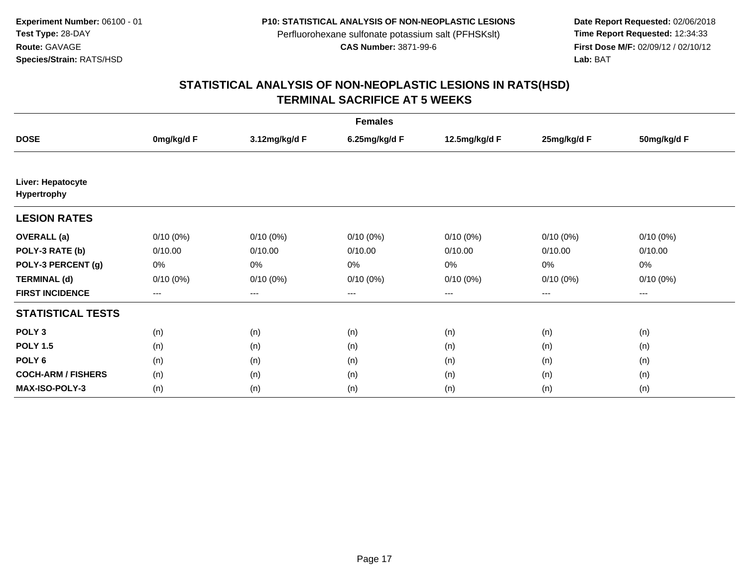**Date Report Requested:** 02/06/2018 **First Dose M/F:** 02/09/12 / 02/10/12<br>Lab: BAT **Lab:** BAT

| <b>Females</b>                          |             |               |               |               |             |             |  |  |
|-----------------------------------------|-------------|---------------|---------------|---------------|-------------|-------------|--|--|
| <b>DOSE</b>                             | 0mg/kg/d F  | 3.12mg/kg/d F | 6.25mg/kg/d F | 12.5mg/kg/d F | 25mg/kg/d F | 50mg/kg/d F |  |  |
|                                         |             |               |               |               |             |             |  |  |
| Liver: Hepatocyte<br><b>Hypertrophy</b> |             |               |               |               |             |             |  |  |
| <b>LESION RATES</b>                     |             |               |               |               |             |             |  |  |
| <b>OVERALL</b> (a)                      | $0/10(0\%)$ | $0/10(0\%)$   | $0/10(0\%)$   | $0/10(0\%)$   | $0/10(0\%)$ | $0/10(0\%)$ |  |  |
| POLY-3 RATE (b)                         | 0/10.00     | 0/10.00       | 0/10.00       | 0/10.00       | 0/10.00     | 0/10.00     |  |  |
| POLY-3 PERCENT (g)                      | 0%          | 0%            | 0%            | 0%            | 0%          | 0%          |  |  |
| <b>TERMINAL (d)</b>                     | $0/10(0\%)$ | $0/10(0\%)$   | $0/10(0\%)$   | $0/10(0\%)$   | $0/10(0\%)$ | $0/10(0\%)$ |  |  |
| <b>FIRST INCIDENCE</b>                  | $--$        | $--$          | ---           | ---           | ---         | $--$        |  |  |
| <b>STATISTICAL TESTS</b>                |             |               |               |               |             |             |  |  |
| POLY <sub>3</sub>                       | (n)         | (n)           | (n)           | (n)           | (n)         | (n)         |  |  |
| <b>POLY 1.5</b>                         | (n)         | (n)           | (n)           | (n)           | (n)         | (n)         |  |  |
| POLY <sub>6</sub>                       | (n)         | (n)           | (n)           | (n)           | (n)         | (n)         |  |  |
| <b>COCH-ARM / FISHERS</b>               | (n)         | (n)           | (n)           | (n)           | (n)         | (n)         |  |  |
| <b>MAX-ISO-POLY-3</b>                   | (n)         | (n)           | (n)           | (n)           | (n)         | (n)         |  |  |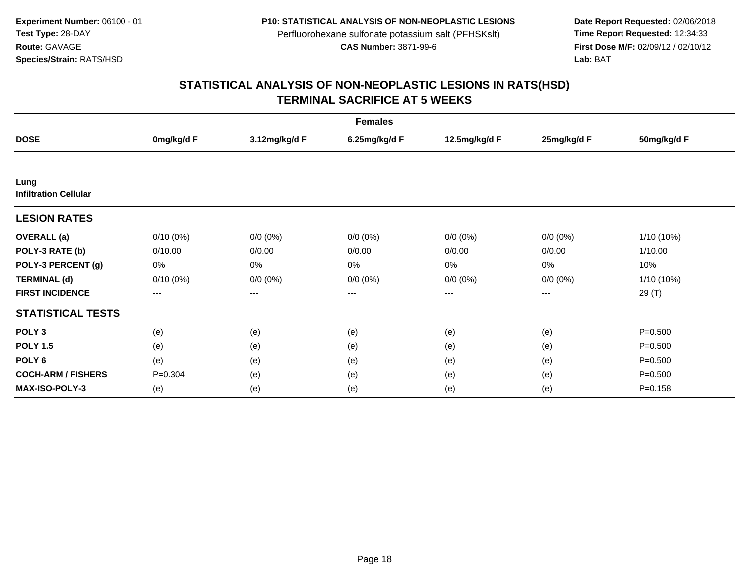**Date Report Requested:** 02/06/2018 **First Dose M/F:** 02/09/12 / 02/10/12<br>Lab: BAT **Lab:** BAT

| <b>Females</b>                       |             |                   |               |               |             |             |  |  |
|--------------------------------------|-------------|-------------------|---------------|---------------|-------------|-------------|--|--|
| <b>DOSE</b>                          | 0mg/kg/d F  | 3.12mg/kg/d F     | 6.25mg/kg/d F | 12.5mg/kg/d F | 25mg/kg/d F | 50mg/kg/d F |  |  |
|                                      |             |                   |               |               |             |             |  |  |
| Lung<br><b>Infiltration Cellular</b> |             |                   |               |               |             |             |  |  |
| <b>LESION RATES</b>                  |             |                   |               |               |             |             |  |  |
| <b>OVERALL</b> (a)                   | $0/10(0\%)$ | $0/0 (0\%)$       | $0/0 (0\%)$   | $0/0 (0\%)$   | $0/0 (0\%)$ | 1/10 (10%)  |  |  |
| POLY-3 RATE (b)                      | 0/10.00     | 0/0.00            | 0/0.00        | 0/0.00        | 0/0.00      | 1/10.00     |  |  |
| POLY-3 PERCENT (g)                   | 0%          | 0%                | 0%            | 0%            | 0%          | 10%         |  |  |
| <b>TERMINAL (d)</b>                  | $0/10(0\%)$ | $0/0 (0\%)$       | $0/0 (0\%)$   | $0/0 (0\%)$   | $0/0 (0\%)$ | 1/10 (10%)  |  |  |
| <b>FIRST INCIDENCE</b>               | ---         | $\qquad \qquad -$ | ---           | ---           | $---$       | 29 (T)      |  |  |
| <b>STATISTICAL TESTS</b>             |             |                   |               |               |             |             |  |  |
| POLY <sub>3</sub>                    | (e)         | (e)               | (e)           | (e)           | (e)         | $P = 0.500$ |  |  |
| <b>POLY 1.5</b>                      | (e)         | (e)               | (e)           | (e)           | (e)         | $P = 0.500$ |  |  |
| POLY <sub>6</sub>                    | (e)         | (e)               | (e)           | (e)           | (e)         | $P = 0.500$ |  |  |
| <b>COCH-ARM / FISHERS</b>            | $P = 0.304$ | (e)               | (e)           | (e)           | (e)         | $P = 0.500$ |  |  |
| MAX-ISO-POLY-3                       | (e)         | (e)               | (e)           | (e)           | (e)         | $P = 0.158$ |  |  |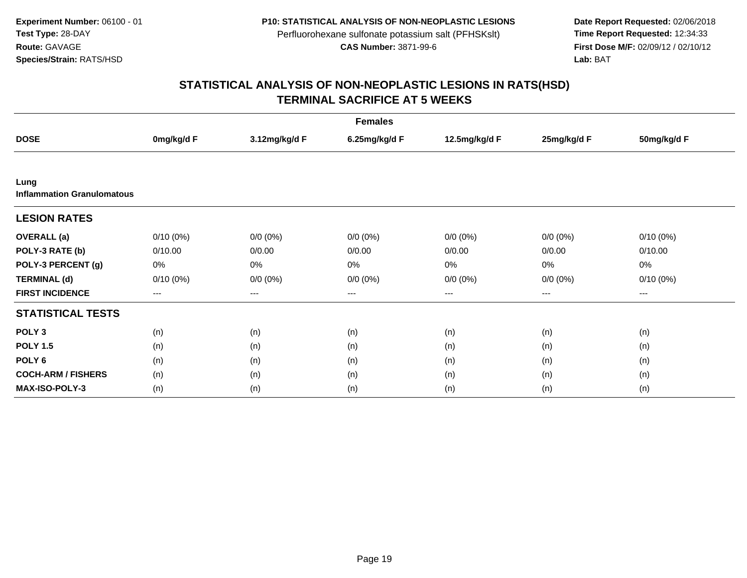**Date Report Requested:** 02/06/2018 **First Dose M/F:** 02/09/12 / 02/10/12<br>Lab: BAT **Lab:** BAT

| <b>Females</b>                            |             |               |               |               |             |             |  |  |
|-------------------------------------------|-------------|---------------|---------------|---------------|-------------|-------------|--|--|
| <b>DOSE</b>                               | 0mg/kg/d F  | 3.12mg/kg/d F | 6.25mg/kg/d F | 12.5mg/kg/d F | 25mg/kg/d F | 50mg/kg/d F |  |  |
|                                           |             |               |               |               |             |             |  |  |
| Lung<br><b>Inflammation Granulomatous</b> |             |               |               |               |             |             |  |  |
| <b>LESION RATES</b>                       |             |               |               |               |             |             |  |  |
| <b>OVERALL</b> (a)                        | $0/10(0\%)$ | $0/0 (0\%)$   | $0/0 (0\%)$   | $0/0 (0\%)$   | $0/0 (0\%)$ | $0/10(0\%)$ |  |  |
| POLY-3 RATE (b)                           | 0/10.00     | 0/0.00        | 0/0.00        | 0/0.00        | 0/0.00      | 0/10.00     |  |  |
| POLY-3 PERCENT (g)                        | 0%          | 0%            | 0%            | 0%            | 0%          | 0%          |  |  |
| <b>TERMINAL (d)</b>                       | $0/10(0\%)$ | $0/0 (0\%)$   | $0/0 (0\%)$   | $0/0 (0\%)$   | $0/0 (0\%)$ | $0/10(0\%)$ |  |  |
| <b>FIRST INCIDENCE</b>                    | $--$        | $--$          | ---           | ---           | $--$        | ---         |  |  |
| <b>STATISTICAL TESTS</b>                  |             |               |               |               |             |             |  |  |
| POLY <sub>3</sub>                         | (n)         | (n)           | (n)           | (n)           | (n)         | (n)         |  |  |
| <b>POLY 1.5</b>                           | (n)         | (n)           | (n)           | (n)           | (n)         | (n)         |  |  |
| POLY <sub>6</sub>                         | (n)         | (n)           | (n)           | (n)           | (n)         | (n)         |  |  |
| <b>COCH-ARM / FISHERS</b>                 | (n)         | (n)           | (n)           | (n)           | (n)         | (n)         |  |  |
| <b>MAX-ISO-POLY-3</b>                     | (n)         | (n)           | (n)           | (n)           | (n)         | (n)         |  |  |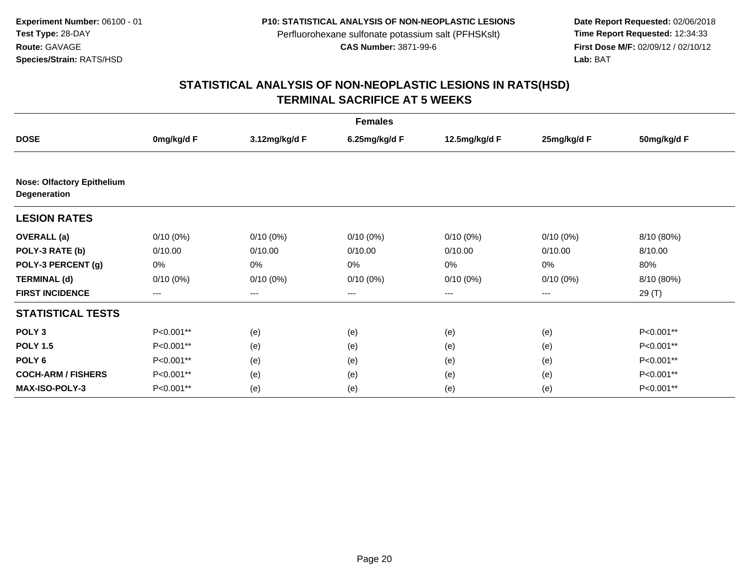**Date Report Requested:** 02/06/2018 **First Dose M/F:** 02/09/12 / 02/10/12<br>Lab: BAT **Lab:** BAT

| <b>Females</b>                                    |             |               |               |               |             |             |  |  |
|---------------------------------------------------|-------------|---------------|---------------|---------------|-------------|-------------|--|--|
| <b>DOSE</b>                                       | 0mg/kg/d F  | 3.12mg/kg/d F | 6.25mg/kg/d F | 12.5mg/kg/d F | 25mg/kg/d F | 50mg/kg/d F |  |  |
| <b>Nose: Olfactory Epithelium</b><br>Degeneration |             |               |               |               |             |             |  |  |
| <b>LESION RATES</b>                               |             |               |               |               |             |             |  |  |
| <b>OVERALL</b> (a)                                | $0/10(0\%)$ | $0/10(0\%)$   | $0/10(0\%)$   | $0/10(0\%)$   | $0/10(0\%)$ | 8/10 (80%)  |  |  |
| POLY-3 RATE (b)                                   | 0/10.00     | 0/10.00       | 0/10.00       | 0/10.00       | 0/10.00     | 8/10.00     |  |  |
| POLY-3 PERCENT (g)                                | 0%          | 0%            | 0%            | 0%            | 0%          | 80%         |  |  |
| <b>TERMINAL (d)</b>                               | $0/10(0\%)$ | $0/10(0\%)$   | $0/10(0\%)$   | $0/10(0\%)$   | $0/10(0\%)$ | 8/10 (80%)  |  |  |
| <b>FIRST INCIDENCE</b>                            | $---$       | $--$          | $--$          | ---           | $--$        | 29 (T)      |  |  |
| <b>STATISTICAL TESTS</b>                          |             |               |               |               |             |             |  |  |
| POLY <sub>3</sub>                                 | P<0.001**   | (e)           | (e)           | (e)           | (e)         | P<0.001**   |  |  |
| <b>POLY 1.5</b>                                   | P<0.001**   | (e)           | (e)           | (e)           | (e)         | P<0.001**   |  |  |
| POLY <sub>6</sub>                                 | P<0.001**   | (e)           | (e)           | (e)           | (e)         | P<0.001**   |  |  |
| <b>COCH-ARM / FISHERS</b>                         | P<0.001**   | (e)           | (e)           | (e)           | (e)         | P<0.001**   |  |  |
| <b>MAX-ISO-POLY-3</b>                             | P<0.001**   | (e)           | (e)           | (e)           | (e)         | P<0.001**   |  |  |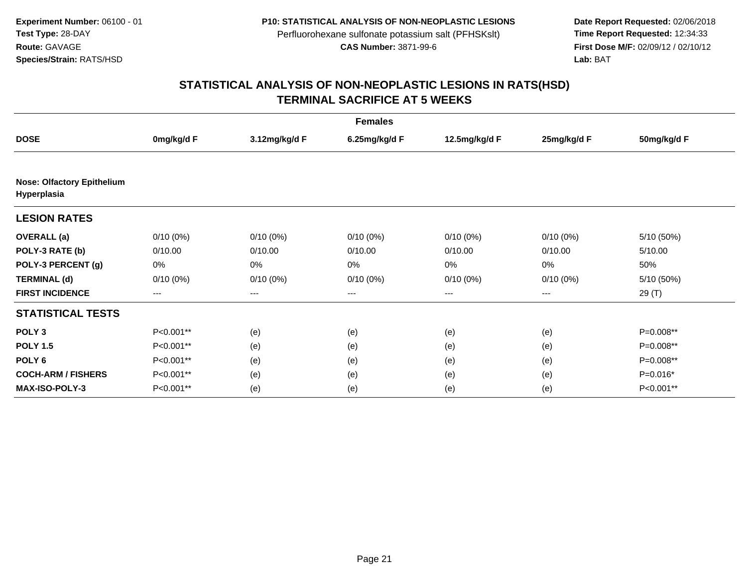**Date Report Requested:** 02/06/2018 **First Dose M/F:** 02/09/12 / 02/10/12<br>Lab: BAT **Lab:** BAT

| <b>Females</b>                                   |             |               |               |               |             |             |  |  |
|--------------------------------------------------|-------------|---------------|---------------|---------------|-------------|-------------|--|--|
| <b>DOSE</b>                                      | 0mg/kg/d F  | 3.12mg/kg/d F | 6.25mg/kg/d F | 12.5mg/kg/d F | 25mg/kg/d F | 50mg/kg/d F |  |  |
| <b>Nose: Olfactory Epithelium</b><br>Hyperplasia |             |               |               |               |             |             |  |  |
| <b>LESION RATES</b>                              |             |               |               |               |             |             |  |  |
| <b>OVERALL</b> (a)                               | $0/10(0\%)$ | $0/10(0\%)$   | $0/10(0\%)$   | $0/10(0\%)$   | $0/10(0\%)$ | 5/10 (50%)  |  |  |
| POLY-3 RATE (b)                                  | 0/10.00     | 0/10.00       | 0/10.00       | 0/10.00       | 0/10.00     | 5/10.00     |  |  |
| POLY-3 PERCENT (g)                               | 0%          | 0%            | 0%            | 0%            | 0%          | 50%         |  |  |
| <b>TERMINAL (d)</b>                              | $0/10(0\%)$ | $0/10(0\%)$   | $0/10(0\%)$   | $0/10(0\%)$   | $0/10(0\%)$ | 5/10 (50%)  |  |  |
| <b>FIRST INCIDENCE</b>                           | $---$       | $--$          | $--$          | ---           | $--$        | 29(T)       |  |  |
| <b>STATISTICAL TESTS</b>                         |             |               |               |               |             |             |  |  |
| POLY <sub>3</sub>                                | P<0.001**   | (e)           | (e)           | (e)           | (e)         | P=0.008**   |  |  |
| <b>POLY 1.5</b>                                  | P<0.001**   | (e)           | (e)           | (e)           | (e)         | P=0.008**   |  |  |
| POLY <sub>6</sub>                                | P<0.001**   | (e)           | (e)           | (e)           | (e)         | P=0.008**   |  |  |
| <b>COCH-ARM / FISHERS</b>                        | P<0.001**   | (e)           | (e)           | (e)           | (e)         | $P=0.016*$  |  |  |
| <b>MAX-ISO-POLY-3</b>                            | P<0.001**   | (e)           | (e)           | (e)           | (e)         | P<0.001**   |  |  |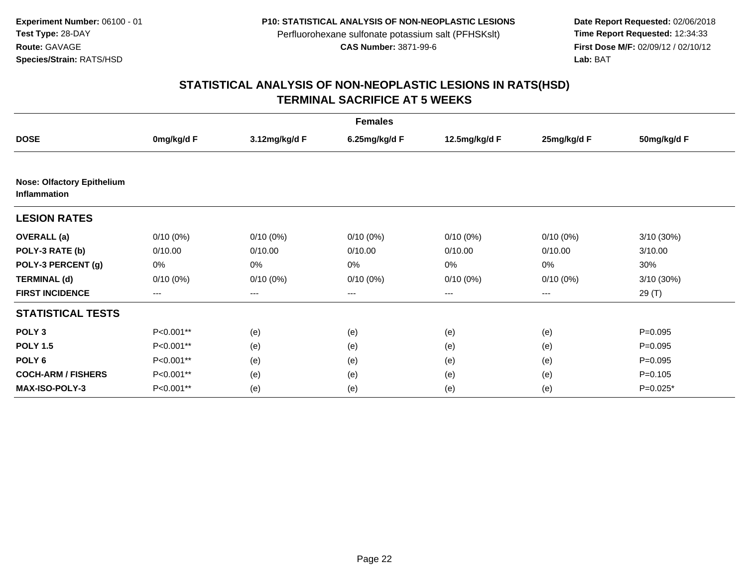**Date Report Requested:** 02/06/2018 **First Dose M/F:** 02/09/12 / 02/10/12<br>Lab: BAT **Lab:** BAT

| <b>Females</b>                                           |             |               |               |               |             |             |  |  |
|----------------------------------------------------------|-------------|---------------|---------------|---------------|-------------|-------------|--|--|
| <b>DOSE</b>                                              | 0mg/kg/d F  | 3.12mg/kg/d F | 6.25mg/kg/d F | 12.5mg/kg/d F | 25mg/kg/d F | 50mg/kg/d F |  |  |
|                                                          |             |               |               |               |             |             |  |  |
| <b>Nose: Olfactory Epithelium</b><br><b>Inflammation</b> |             |               |               |               |             |             |  |  |
| <b>LESION RATES</b>                                      |             |               |               |               |             |             |  |  |
| <b>OVERALL</b> (a)                                       | $0/10(0\%)$ | $0/10(0\%)$   | $0/10(0\%)$   | $0/10(0\%)$   | 0/10(0%)    | 3/10(30%)   |  |  |
| POLY-3 RATE (b)                                          | 0/10.00     | 0/10.00       | 0/10.00       | 0/10.00       | 0/10.00     | 3/10.00     |  |  |
| POLY-3 PERCENT (g)                                       | 0%          | 0%            | 0%            | 0%            | 0%          | 30%         |  |  |
| <b>TERMINAL (d)</b>                                      | $0/10(0\%)$ | $0/10(0\%)$   | $0/10(0\%)$   | $0/10(0\%)$   | $0/10(0\%)$ | 3/10 (30%)  |  |  |
| <b>FIRST INCIDENCE</b>                                   | ---         | ---           | ---           | $---$         | $---$       | 29 (T)      |  |  |
| <b>STATISTICAL TESTS</b>                                 |             |               |               |               |             |             |  |  |
| POLY <sub>3</sub>                                        | P<0.001**   | (e)           | (e)           | (e)           | (e)         | $P = 0.095$ |  |  |
| <b>POLY 1.5</b>                                          | P<0.001**   | (e)           | (e)           | (e)           | (e)         | $P = 0.095$ |  |  |
| POLY <sub>6</sub>                                        | P<0.001**   | (e)           | (e)           | (e)           | (e)         | $P=0.095$   |  |  |
| <b>COCH-ARM / FISHERS</b>                                | P<0.001**   | (e)           | (e)           | (e)           | (e)         | $P = 0.105$ |  |  |
| <b>MAX-ISO-POLY-3</b>                                    | P<0.001**   | (e)           | (e)           | (e)           | (e)         | $P=0.025*$  |  |  |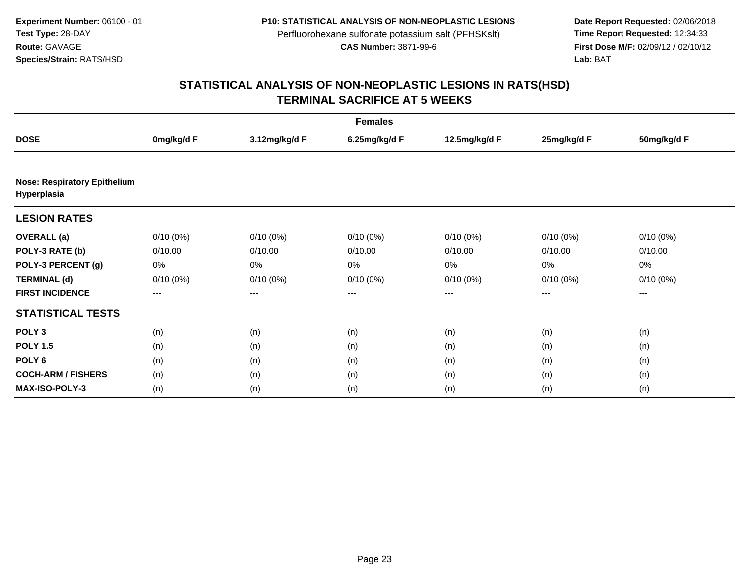**Date Report Requested:** 02/06/2018 **First Dose M/F:** 02/09/12 / 02/10/12<br>Lab: BAT **Lab:** BAT

| <b>Females</b>                                     |             |               |               |               |             |                        |  |  |
|----------------------------------------------------|-------------|---------------|---------------|---------------|-------------|------------------------|--|--|
| <b>DOSE</b>                                        | 0mg/kg/d F  | 3.12mg/kg/d F | 6.25mg/kg/d F | 12.5mg/kg/d F | 25mg/kg/d F | 50mg/kg/d F            |  |  |
| <b>Nose: Respiratory Epithelium</b><br>Hyperplasia |             |               |               |               |             |                        |  |  |
| <b>LESION RATES</b>                                |             |               |               |               |             |                        |  |  |
| <b>OVERALL</b> (a)                                 | $0/10(0\%)$ | $0/10(0\%)$   | $0/10(0\%)$   | $0/10(0\%)$   | $0/10(0\%)$ | $0/10(0\%)$            |  |  |
| POLY-3 RATE (b)                                    | 0/10.00     | 0/10.00       | 0/10.00       | 0/10.00       | 0/10.00     | 0/10.00                |  |  |
| POLY-3 PERCENT (g)                                 | 0%          | 0%            | 0%            | 0%            | 0%          | 0%                     |  |  |
| <b>TERMINAL (d)</b>                                | $0/10(0\%)$ | $0/10(0\%)$   | 0/10(0%)      | $0/10(0\%)$   | $0/10(0\%)$ | $0/10(0\%)$            |  |  |
| <b>FIRST INCIDENCE</b>                             | $---$       | $---$         | ---           | ---           | $--$        | $\qquad \qquad \cdots$ |  |  |
| <b>STATISTICAL TESTS</b>                           |             |               |               |               |             |                        |  |  |
| POLY <sub>3</sub>                                  | (n)         | (n)           | (n)           | (n)           | (n)         | (n)                    |  |  |
| <b>POLY 1.5</b>                                    | (n)         | (n)           | (n)           | (n)           | (n)         | (n)                    |  |  |
| POLY <sub>6</sub>                                  | (n)         | (n)           | (n)           | (n)           | (n)         | (n)                    |  |  |
| <b>COCH-ARM / FISHERS</b>                          | (n)         | (n)           | (n)           | (n)           | (n)         | (n)                    |  |  |
| <b>MAX-ISO-POLY-3</b>                              | (n)         | (n)           | (n)           | (n)           | (n)         | (n)                    |  |  |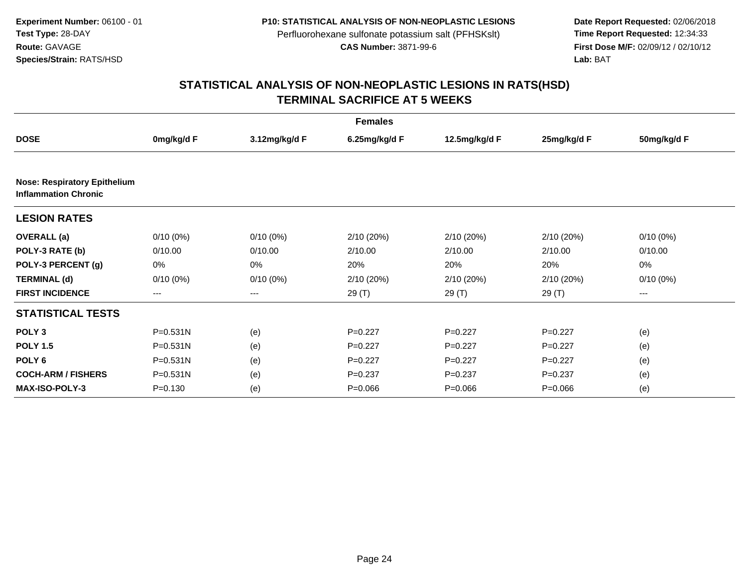**Date Report Requested:** 02/06/2018 **First Dose M/F:** 02/09/12 / 02/10/12<br>Lab: BAT **Lab:** BAT

| <b>Females</b>                                                     |              |               |               |               |             |             |  |  |
|--------------------------------------------------------------------|--------------|---------------|---------------|---------------|-------------|-------------|--|--|
| <b>DOSE</b>                                                        | 0mg/kg/d F   | 3.12mg/kg/d F | 6.25mg/kg/d F | 12.5mg/kg/d F | 25mg/kg/d F | 50mg/kg/d F |  |  |
|                                                                    |              |               |               |               |             |             |  |  |
| <b>Nose: Respiratory Epithelium</b><br><b>Inflammation Chronic</b> |              |               |               |               |             |             |  |  |
| <b>LESION RATES</b>                                                |              |               |               |               |             |             |  |  |
| <b>OVERALL</b> (a)                                                 | $0/10(0\%)$  | $0/10(0\%)$   | 2/10(20%)     | 2/10 (20%)    | 2/10 (20%)  | $0/10(0\%)$ |  |  |
| POLY-3 RATE (b)                                                    | 0/10.00      | 0/10.00       | 2/10.00       | 2/10.00       | 2/10.00     | 0/10.00     |  |  |
| POLY-3 PERCENT (g)                                                 | 0%           | 0%            | 20%           | 20%           | 20%         | 0%          |  |  |
| <b>TERMINAL (d)</b>                                                | $0/10(0\%)$  | $0/10(0\%)$   | 2/10 (20%)    | 2/10 (20%)    | 2/10 (20%)  | $0/10(0\%)$ |  |  |
| <b>FIRST INCIDENCE</b>                                             | ---          | ---           | 29(T)         | 29(T)         | 29(T)       | ---         |  |  |
| <b>STATISTICAL TESTS</b>                                           |              |               |               |               |             |             |  |  |
| POLY <sub>3</sub>                                                  | P=0.531N     | (e)           | $P=0.227$     | $P=0.227$     | $P=0.227$   | (e)         |  |  |
| <b>POLY 1.5</b>                                                    | $P = 0.531N$ | (e)           | $P=0.227$     | $P=0.227$     | $P=0.227$   | (e)         |  |  |
| POLY <sub>6</sub>                                                  | $P = 0.531N$ | (e)           | $P=0.227$     | $P=0.227$     | $P=0.227$   | (e)         |  |  |
| <b>COCH-ARM / FISHERS</b>                                          | $P = 0.531N$ | (e)           | $P = 0.237$   | $P = 0.237$   | $P = 0.237$ | (e)         |  |  |
| <b>MAX-ISO-POLY-3</b>                                              | $P = 0.130$  | (e)           | $P = 0.066$   | $P = 0.066$   | $P = 0.066$ | (e)         |  |  |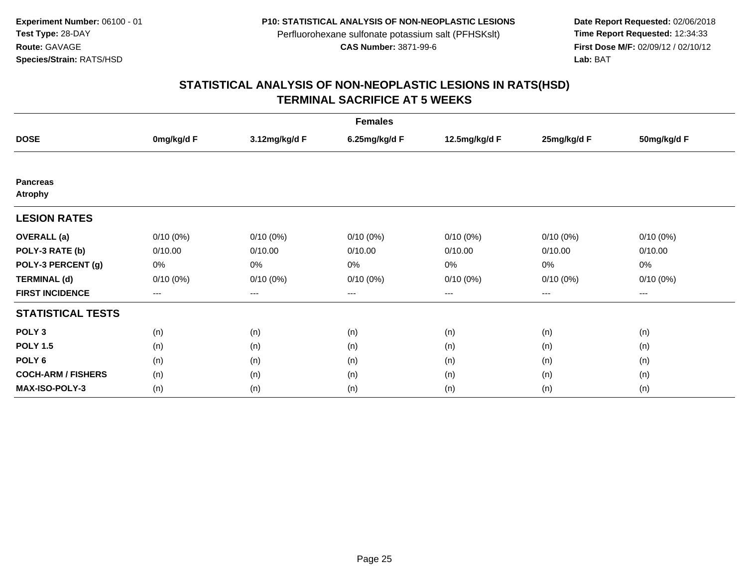**Date Report Requested:** 02/06/2018 **First Dose M/F:** 02/09/12 / 02/10/12<br>Lab: BAT **Lab:** BAT

| <b>Females</b>                    |                   |                        |                   |               |                        |             |  |  |
|-----------------------------------|-------------------|------------------------|-------------------|---------------|------------------------|-------------|--|--|
| <b>DOSE</b>                       | 0mg/kg/d F        | 3.12mg/kg/d F          | 6.25mg/kg/d F     | 12.5mg/kg/d F | 25mg/kg/d F            | 50mg/kg/d F |  |  |
|                                   |                   |                        |                   |               |                        |             |  |  |
| <b>Pancreas</b><br><b>Atrophy</b> |                   |                        |                   |               |                        |             |  |  |
| <b>LESION RATES</b>               |                   |                        |                   |               |                        |             |  |  |
| <b>OVERALL</b> (a)                | $0/10(0\%)$       | $0/10(0\%)$            | $0/10(0\%)$       | $0/10(0\%)$   | $0/10(0\%)$            | $0/10(0\%)$ |  |  |
| POLY-3 RATE (b)                   | 0/10.00           | 0/10.00                | 0/10.00           | 0/10.00       | 0/10.00                | 0/10.00     |  |  |
| POLY-3 PERCENT (g)                | 0%                | 0%                     | 0%                | 0%            | 0%                     | 0%          |  |  |
| <b>TERMINAL (d)</b>               | $0/10(0\%)$       | $0/10(0\%)$            | $0/10(0\%)$       | $0/10(0\%)$   | $0/10(0\%)$            | $0/10(0\%)$ |  |  |
| <b>FIRST INCIDENCE</b>            | $\qquad \qquad -$ | $\qquad \qquad \cdots$ | $\qquad \qquad -$ | ---           | $\qquad \qquad \cdots$ | $---$       |  |  |
| <b>STATISTICAL TESTS</b>          |                   |                        |                   |               |                        |             |  |  |
| POLY <sub>3</sub>                 | (n)               | (n)                    | (n)               | (n)           | (n)                    | (n)         |  |  |
| <b>POLY 1.5</b>                   | (n)               | (n)                    | (n)               | (n)           | (n)                    | (n)         |  |  |
| POLY 6                            | (n)               | (n)                    | (n)               | (n)           | (n)                    | (n)         |  |  |
| <b>COCH-ARM / FISHERS</b>         | (n)               | (n)                    | (n)               | (n)           | (n)                    | (n)         |  |  |
| <b>MAX-ISO-POLY-3</b>             | (n)               | (n)                    | (n)               | (n)           | (n)                    | (n)         |  |  |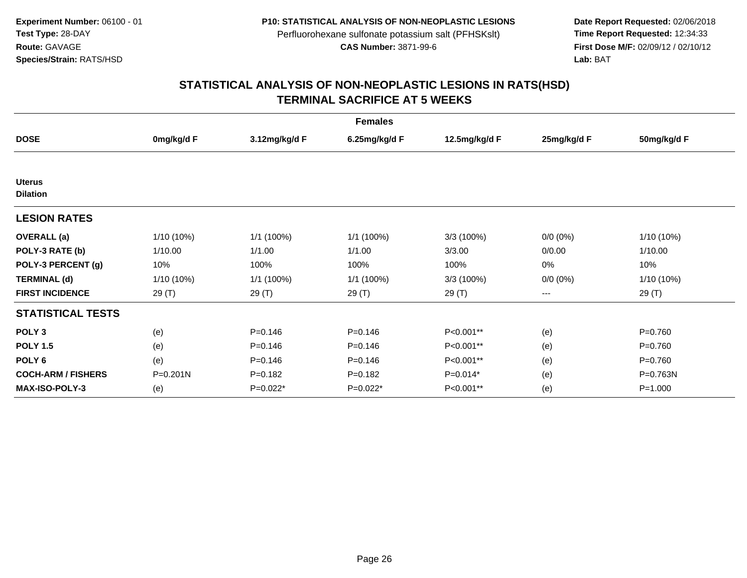**Date Report Requested:** 02/06/2018 **First Dose M/F:** 02/09/12 / 02/10/12<br>Lab: BAT **Lab:** BAT

| <b>Females</b>                   |              |               |               |               |             |              |  |  |
|----------------------------------|--------------|---------------|---------------|---------------|-------------|--------------|--|--|
| <b>DOSE</b>                      | 0mg/kg/d F   | 3.12mg/kg/d F | 6.25mg/kg/d F | 12.5mg/kg/d F | 25mg/kg/d F | 50mg/kg/d F  |  |  |
|                                  |              |               |               |               |             |              |  |  |
| <b>Uterus</b><br><b>Dilation</b> |              |               |               |               |             |              |  |  |
| <b>LESION RATES</b>              |              |               |               |               |             |              |  |  |
| <b>OVERALL</b> (a)               | 1/10 (10%)   | 1/1(100%)     | 1/1 (100%)    | 3/3 (100%)    | $0/0 (0\%)$ | $1/10(10\%)$ |  |  |
| POLY-3 RATE (b)                  | 1/10.00      | 1/1.00        | 1/1.00        | 3/3.00        | 0/0.00      | 1/10.00      |  |  |
| POLY-3 PERCENT (g)               | 10%          | 100%          | 100%          | 100%          | 0%          | 10%          |  |  |
| <b>TERMINAL (d)</b>              | 1/10 (10%)   | 1/1 (100%)    | 1/1(100%)     | 3/3 (100%)    | $0/0 (0\%)$ | $1/10(10\%)$ |  |  |
| <b>FIRST INCIDENCE</b>           | 29 (T)       | 29 (T)        | 29 (T)        | 29 (T)        | $--$        | 29 (T)       |  |  |
| <b>STATISTICAL TESTS</b>         |              |               |               |               |             |              |  |  |
| POLY <sub>3</sub>                | (e)          | $P = 0.146$   | $P = 0.146$   | P<0.001**     | (e)         | $P = 0.760$  |  |  |
| <b>POLY 1.5</b>                  | (e)          | $P = 0.146$   | $P = 0.146$   | P<0.001**     | (e)         | $P = 0.760$  |  |  |
| POLY <sub>6</sub>                | (e)          | $P = 0.146$   | $P = 0.146$   | P<0.001**     | (e)         | $P = 0.760$  |  |  |
| <b>COCH-ARM / FISHERS</b>        | $P = 0.201N$ | $P=0.182$     | $P=0.182$     | $P=0.014*$    | (e)         | P=0.763N     |  |  |
| <b>MAX-ISO-POLY-3</b>            | (e)          | P=0.022*      | $P=0.022*$    | P<0.001**     | (e)         | $P = 1.000$  |  |  |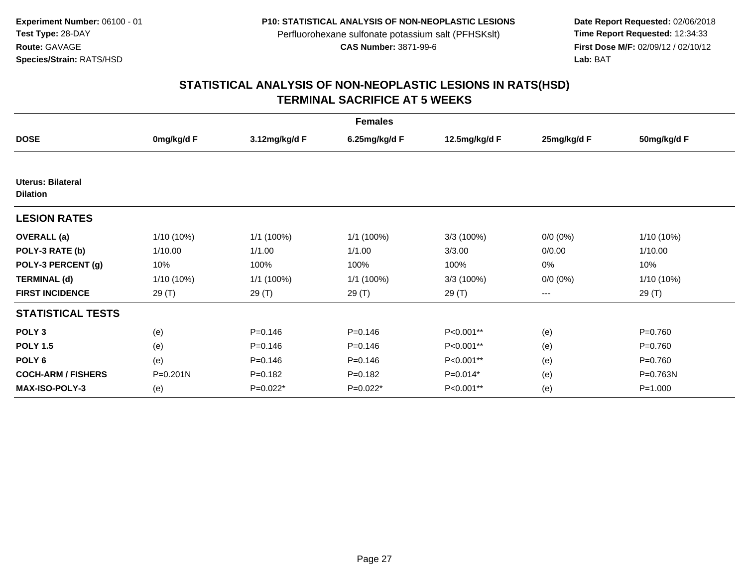**Date Report Requested:** 02/06/2018 **First Dose M/F:** 02/09/12 / 02/10/12<br>Lab: BAT **Lab:** BAT

| <b>Females</b>                       |              |               |               |               |             |             |  |  |
|--------------------------------------|--------------|---------------|---------------|---------------|-------------|-------------|--|--|
| <b>DOSE</b>                          | 0mg/kg/d F   | 3.12mg/kg/d F | 6.25mg/kg/d F | 12.5mg/kg/d F | 25mg/kg/d F | 50mg/kg/d F |  |  |
|                                      |              |               |               |               |             |             |  |  |
| Uterus: Bilateral<br><b>Dilation</b> |              |               |               |               |             |             |  |  |
| <b>LESION RATES</b>                  |              |               |               |               |             |             |  |  |
| <b>OVERALL</b> (a)                   | 1/10 (10%)   | 1/1 (100%)    | 1/1 (100%)    | 3/3 (100%)    | $0/0 (0\%)$ | 1/10 (10%)  |  |  |
| POLY-3 RATE (b)                      | 1/10.00      | 1/1.00        | 1/1.00        | 3/3.00        | 0/0.00      | 1/10.00     |  |  |
| POLY-3 PERCENT (g)                   | 10%          | 100%          | 100%          | 100%          | 0%          | 10%         |  |  |
| <b>TERMINAL (d)</b>                  | 1/10 (10%)   | 1/1 (100%)    | 1/1 (100%)    | 3/3 (100%)    | $0/0 (0\%)$ | 1/10 (10%)  |  |  |
| <b>FIRST INCIDENCE</b>               | 29 (T)       | 29 (T)        | 29 (T)        | 29 (T)        | ---         | 29(T)       |  |  |
| <b>STATISTICAL TESTS</b>             |              |               |               |               |             |             |  |  |
| POLY <sub>3</sub>                    | (e)          | $P = 0.146$   | $P = 0.146$   | P<0.001**     | (e)         | $P = 0.760$ |  |  |
| <b>POLY 1.5</b>                      | (e)          | $P = 0.146$   | $P = 0.146$   | P<0.001**     | (e)         | $P = 0.760$ |  |  |
| POLY <sub>6</sub>                    | (e)          | $P = 0.146$   | $P = 0.146$   | P<0.001**     | (e)         | $P = 0.760$ |  |  |
| <b>COCH-ARM / FISHERS</b>            | $P = 0.201N$ | $P = 0.182$   | $P=0.182$     | $P=0.014*$    | (e)         | P=0.763N    |  |  |
| <b>MAX-ISO-POLY-3</b>                | (e)          | P=0.022*      | $P=0.022*$    | P<0.001**     | (e)         | $P = 1.000$ |  |  |